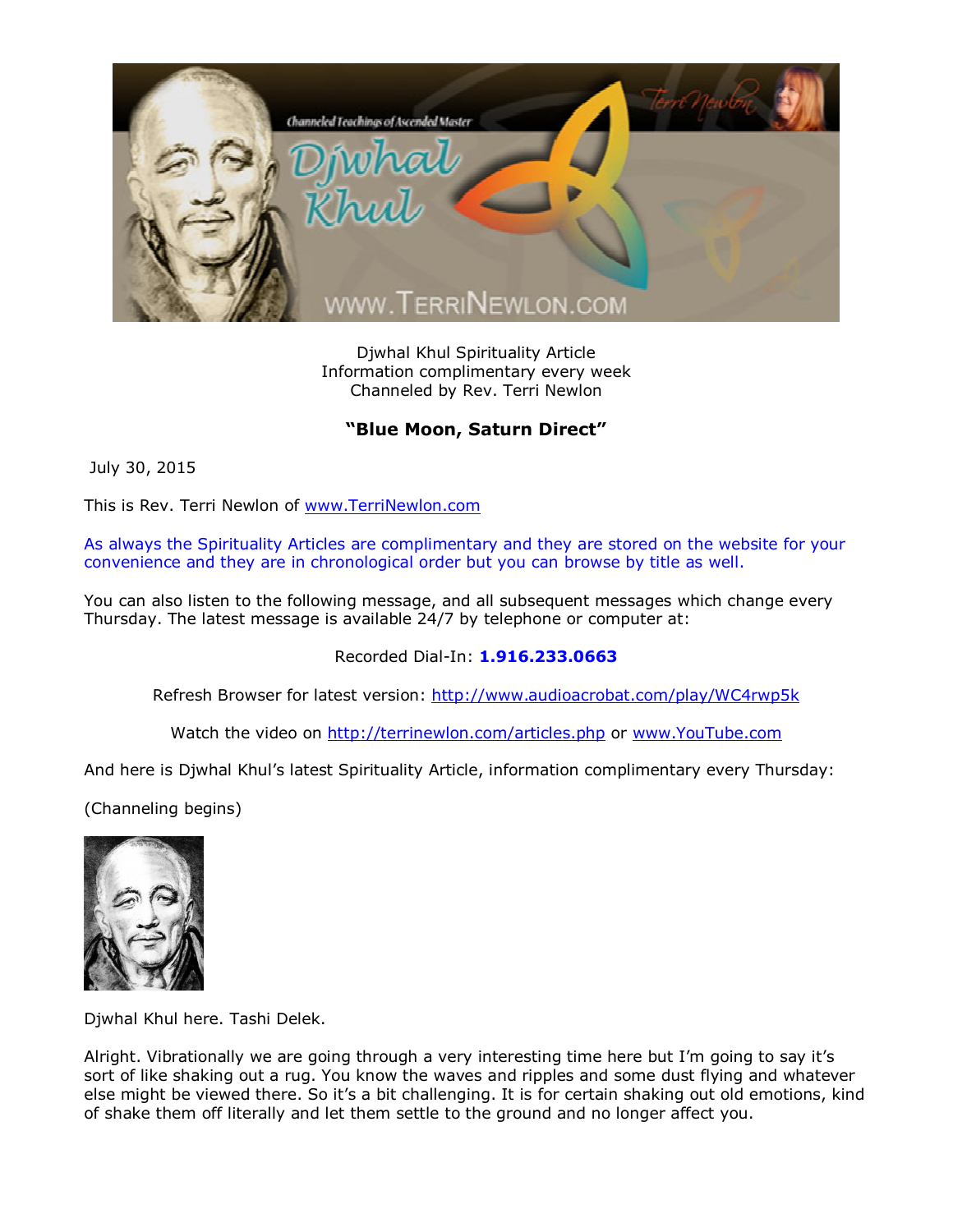

Djwhal Khul Spirituality Article Information complimentary every week Channeled by Rev. Terri Newlon

## **"Blue Moon, Saturn Direct"**

July 30, 2015

This is Rev. Terri Newlon of [www.TerriNewlon.com](http://www.terrinewlon.com/)

As always the Spirituality Articles are complimentary and they are stored on the website for your convenience and they are in chronological order but you can browse by title as well.

You can also listen to the following message, and all subsequent messages which change every Thursday. The latest message is available 24/7 by telephone or computer at:

Recorded Dial-In: **1.916.233.0663**

Refresh Browser for latest version: <http://www.audioacrobat.com/play/WC4rwp5k>

Watch the video on <http://terrinewlon.com/articles.php> or [www.YouTube.com](http://www.youtube.com/)

And here is Djwhal Khul's latest Spirituality Article, information complimentary every Thursday:

(Channeling begins)



Djwhal Khul here. Tashi Delek.

Alright. Vibrationally we are going through a very interesting time here but I'm going to say it's sort of like shaking out a rug. You know the waves and ripples and some dust flying and whatever else might be viewed there. So it's a bit challenging. It is for certain shaking out old emotions, kind of shake them off literally and let them settle to the ground and no longer affect you.